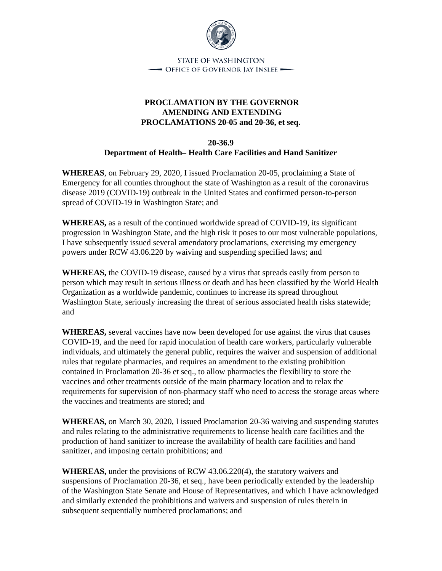

## **PROCLAMATION BY THE GOVERNOR AMENDING AND EXTENDING PROCLAMATIONS 20-05 and 20-36, et seq.**

## **20-36.9 Department of Health– Health Care Facilities and Hand Sanitizer**

**WHEREAS**, on February 29, 2020, I issued Proclamation 20-05, proclaiming a State of Emergency for all counties throughout the state of Washington as a result of the coronavirus disease 2019 (COVID-19) outbreak in the United States and confirmed person-to-person spread of COVID-19 in Washington State; and

**WHEREAS,** as a result of the continued worldwide spread of COVID-19, its significant progression in Washington State, and the high risk it poses to our most vulnerable populations, I have subsequently issued several amendatory proclamations, exercising my emergency powers under RCW 43.06.220 by waiving and suspending specified laws; and

**WHEREAS,** the COVID-19 disease, caused by a virus that spreads easily from person to person which may result in serious illness or death and has been classified by the World Health Organization as a worldwide pandemic, continues to increase its spread throughout Washington State, seriously increasing the threat of serious associated health risks statewide; and

**WHEREAS,** several vaccines have now been developed for use against the virus that causes COVID-19, and the need for rapid inoculation of health care workers, particularly vulnerable individuals, and ultimately the general public, requires the waiver and suspension of additional rules that regulate pharmacies, and requires an amendment to the existing prohibition contained in Proclamation 20-36 et seq., to allow pharmacies the flexibility to store the vaccines and other treatments outside of the main pharmacy location and to relax the requirements for supervision of non-pharmacy staff who need to access the storage areas where the vaccines and treatments are stored; and

**WHEREAS,** on March 30, 2020, I issued Proclamation 20-36 waiving and suspending statutes and rules relating to the administrative requirements to license health care facilities and the production of hand sanitizer to increase the availability of health care facilities and hand sanitizer, and imposing certain prohibitions; and

**WHEREAS,** under the provisions of RCW 43.06.220(4), the statutory waivers and suspensions of Proclamation 20-36, et seq., have been periodically extended by the leadership of the Washington State Senate and House of Representatives, and which I have acknowledged and similarly extended the prohibitions and waivers and suspension of rules therein in subsequent sequentially numbered proclamations; and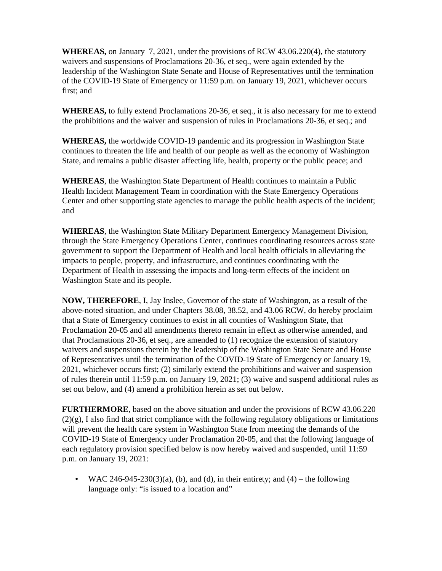**WHEREAS,** on January 7, 2021, under the provisions of RCW 43.06.220(4), the statutory waivers and suspensions of Proclamations 20-36, et seq., were again extended by the leadership of the Washington State Senate and House of Representatives until the termination of the COVID-19 State of Emergency or 11:59 p.m. on January 19, 2021, whichever occurs first; and

**WHEREAS,** to fully extend Proclamations 20-36, et seq., it is also necessary for me to extend the prohibitions and the waiver and suspension of rules in Proclamations 20-36, et seq.; and

**WHEREAS,** the worldwide COVID-19 pandemic and its progression in Washington State continues to threaten the life and health of our people as well as the economy of Washington State, and remains a public disaster affecting life, health, property or the public peace; and

**WHEREAS**, the Washington State Department of Health continues to maintain a Public Health Incident Management Team in coordination with the State Emergency Operations Center and other supporting state agencies to manage the public health aspects of the incident; and

**WHEREAS**, the Washington State Military Department Emergency Management Division, through the State Emergency Operations Center, continues coordinating resources across state government to support the Department of Health and local health officials in alleviating the impacts to people, property, and infrastructure, and continues coordinating with the Department of Health in assessing the impacts and long-term effects of the incident on Washington State and its people.

**NOW, THEREFORE**, I, Jay Inslee, Governor of the state of Washington, as a result of the above-noted situation, and under Chapters 38.08, 38.52, and 43.06 RCW, do hereby proclaim that a State of Emergency continues to exist in all counties of Washington State, that Proclamation 20-05 and all amendments thereto remain in effect as otherwise amended, and that Proclamations 20-36, et seq., are amended to (1) recognize the extension of statutory waivers and suspensions therein by the leadership of the Washington State Senate and House of Representatives until the termination of the COVID-19 State of Emergency or January 19, 2021, whichever occurs first; (2) similarly extend the prohibitions and waiver and suspension of rules therein until 11:59 p.m. on January 19, 2021; (3) waive and suspend additional rules as set out below, and (4) amend a prohibition herein as set out below.

**FURTHERMORE**, based on the above situation and under the provisions of RCW 43.06.220  $(2)(g)$ , I also find that strict compliance with the following regulatory obligations or limitations will prevent the health care system in Washington State from meeting the demands of the COVID-19 State of Emergency under Proclamation 20-05, and that the following language of each regulatory provision specified below is now hereby waived and suspended, until 11:59 p.m. on January 19, 2021:

• WAC 246-945-230(3)(a), (b), and (d), in their entirety; and (4) – the following language only: "is issued to a location and"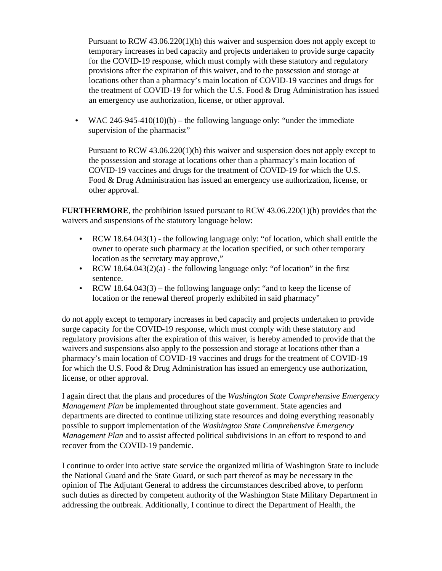Pursuant to RCW 43.06.220(1)(h) this waiver and suspension does not apply except to temporary increases in bed capacity and projects undertaken to provide surge capacity for the COVID-19 response, which must comply with these statutory and regulatory provisions after the expiration of this waiver, and to the possession and storage at locations other than a pharmacy's main location of COVID-19 vaccines and drugs for the treatment of COVID-19 for which the U.S. Food & Drug Administration has issued an emergency use authorization, license, or other approval.

• WAC 246-945-410(10)(b) – the following language only: "under the immediate supervision of the pharmacist"

Pursuant to RCW 43.06.220(1)(h) this waiver and suspension does not apply except to the possession and storage at locations other than a pharmacy's main location of COVID-19 vaccines and drugs for the treatment of COVID-19 for which the U.S. Food & Drug Administration has issued an emergency use authorization, license, or other approval.

**FURTHERMORE**, the prohibition issued pursuant to RCW 43.06.220(1)(h) provides that the waivers and suspensions of the statutory language below:

- RCW 18.64.043(1) the following language only: "of location, which shall entitle the owner to operate such pharmacy at the location specified, or such other temporary location as the secretary may approve,"
- RCW  $18.64.043(2)(a)$  the following language only: "of location" in the first sentence.
- RCW 18.64.043(3) the following language only: "and to keep the license of location or the renewal thereof properly exhibited in said pharmacy"

do not apply except to temporary increases in bed capacity and projects undertaken to provide surge capacity for the COVID-19 response, which must comply with these statutory and regulatory provisions after the expiration of this waiver, is hereby amended to provide that the waivers and suspensions also apply to the possession and storage at locations other than a pharmacy's main location of COVID-19 vaccines and drugs for the treatment of COVID-19 for which the U.S. Food & Drug Administration has issued an emergency use authorization, license, or other approval.

I again direct that the plans and procedures of the *Washington State Comprehensive Emergency Management Plan* be implemented throughout state government. State agencies and departments are directed to continue utilizing state resources and doing everything reasonably possible to support implementation of the *Washington State Comprehensive Emergency Management Plan* and to assist affected political subdivisions in an effort to respond to and recover from the COVID-19 pandemic.

I continue to order into active state service the organized militia of Washington State to include the National Guard and the State Guard, or such part thereof as may be necessary in the opinion of The Adjutant General to address the circumstances described above, to perform such duties as directed by competent authority of the Washington State Military Department in addressing the outbreak. Additionally, I continue to direct the Department of Health, the